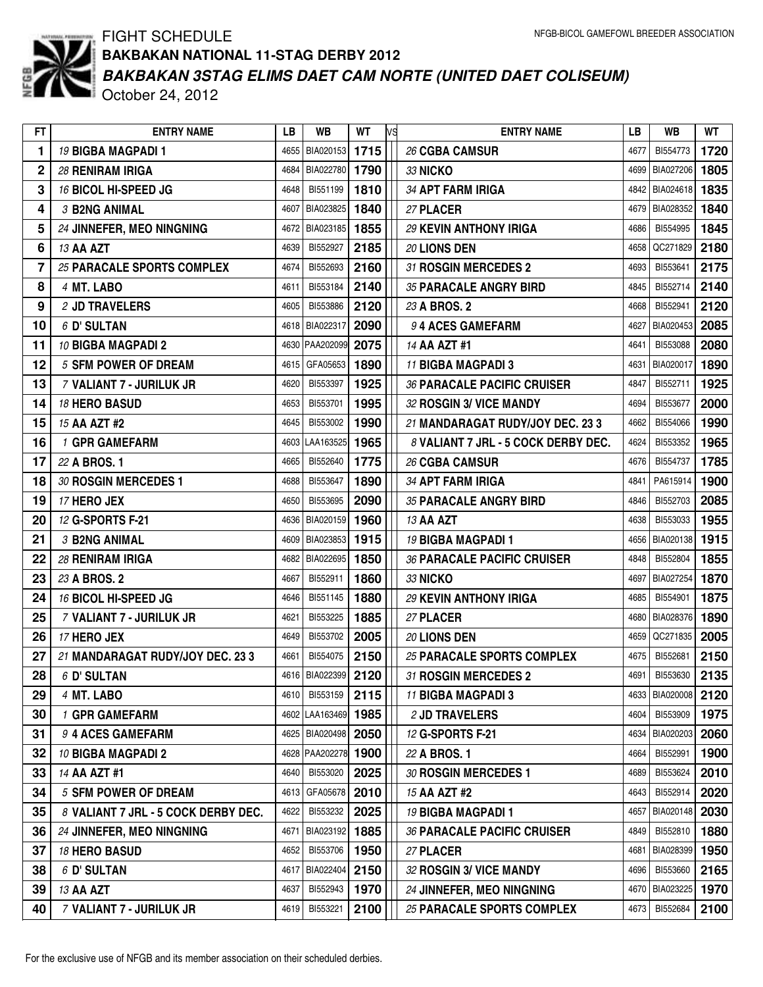

## FIGHT SCHEDULE *BAKBAKAN 3STAG ELIMS DAET CAM NORTE (UNITED DAET COLISEUM)* **BAKBAKAN NATIONAL 11-STAG DERBY 2012**

October 24, 2012

| FT.            | <b>ENTRY NAME</b>                   | LB   | WB                      | WT.  | <b>IVS</b> | <b>ENTRY NAME</b>                   | LВ   | WB                  | WТ   |
|----------------|-------------------------------------|------|-------------------------|------|------------|-------------------------------------|------|---------------------|------|
| 1              | 19 BIGBA MAGPADI 1                  | 4655 | BIA020153               | 1715 |            | 26 CGBA CAMSUR                      | 4677 | BI554773            | 1720 |
| $\overline{2}$ | <b>28 RENIRAM IRIGA</b>             | 4684 | BIA022780               | 1790 |            | 33 NICKO                            | 4699 | BIA027206           | 1805 |
| 3              | 16 BICOL HI-SPEED JG                | 4648 | BI551199                | 1810 |            | 34 APT FARM IRIGA                   | 4842 | BIA024618           | 1835 |
| 4              | 3 B2NG ANIMAL                       | 4607 | BIA023825               | 1840 |            | 27 PLACER                           |      | 4679 BIA028352      | 1840 |
| 5              | 24 JINNEFER, MEO NINGNING           | 4672 | BIA023185               | 1855 |            | 29 KEVIN ANTHONY IRIGA              | 4686 | BI554995            | 1845 |
| 6              | 13 AA AZT                           | 4639 | BI552927                | 2185 |            | 20 LIONS DEN                        | 4658 | QC271829            | 2180 |
| 7              | 25 PARACALE SPORTS COMPLEX          | 4674 | BI552693                | 2160 |            | 31 ROSGIN MERCEDES 2                | 4693 | BI553641            | 2175 |
| 8              | 4 MT. LABO                          | 4611 | BI553184                | 2140 |            | 35 PARACALE ANGRY BIRD              | 4845 | BI552714            | 2140 |
| 9              | 2 JD TRAVELERS                      | 4605 | BI553886                | 2120 |            | 23 A BROS. 2                        | 4668 | BI552941            | 2120 |
| 10             | 6 D' SULTAN                         | 4618 | BIA022317               | 2090 |            | 94 ACES GAMEFARM                    | 4627 | BIA020453           | 2085 |
| 11             | 10 BIGBA MAGPADI 2                  | 4630 | PAA202099               | 2075 |            | 14 AA AZT #1                        | 4641 | BI553088            | 2080 |
| 12             | <b>5 SFM POWER OF DREAM</b>         | 4615 | GFA05653                | 1890 |            | 11 BIGBA MAGPADI 3                  | 4631 | BIA020017           | 1890 |
| 13             | 7 VALIANT 7 - JURILUK JR            | 4620 | BI553397                | 1925 |            | 36 PARACALE PACIFIC CRUISER         | 4847 | BI552711            | 1925 |
| 14             | <b>18 HERO BASUD</b>                | 4653 | BI553701                | 1995 |            | 32 ROSGIN 3/ VICE MANDY             | 4694 | BI553677            | 2000 |
| 15             | 15 AA AZT #2                        | 4645 | BI553002                | 1990 |            | 21 MANDARAGAT RUDY/JOY DEC. 23 3    | 4662 | BI554066            | 1990 |
| 16             | 1 GPR GAMEFARM                      | 4603 | LAA163525               | 1965 |            | 8 VALIANT 7 JRL - 5 COCK DERBY DEC. | 4624 | BI553352            | 1965 |
| 17             | 22 A BROS. 1                        | 4665 | BI552640                | 1775 |            | 26 CGBA CAMSUR                      | 4676 | BI554737            | 1785 |
| 18             | 30 ROSGIN MERCEDES 1                | 4688 | BI553647                | 1890 |            | 34 APT FARM IRIGA                   | 4841 | PA615914            | 1900 |
| 19             | 17 HERO JEX                         | 4650 | BI553695                | 2090 |            | 35 PARACALE ANGRY BIRD              | 4846 | BI552703            | 2085 |
| 20             | 12 G-SPORTS F-21                    | 4636 | BIA020159               | 1960 |            | 13 AA AZT                           | 4638 | BI553033            | 1955 |
| 21             | 3 B2NG ANIMAL                       | 4609 | BIA023853               | 1915 |            | 19 BIGBA MAGPADI 1                  | 4656 | BIA020138           | 1915 |
| 22             | 28 RENIRAM IRIGA                    | 4682 | BIA022695               | 1850 |            | <b>36 PARACALE PACIFIC CRUISER</b>  | 4848 | BI552804            | 1855 |
| 23             | 23 A BROS. 2                        | 4667 | BI552911                | 1860 |            | <b>33 NICKO</b>                     | 4697 | BIA027254           | 1870 |
| 24             | 16 BICOL HI-SPEED JG                | 4646 | BI551145                | 1880 |            | 29 KEVIN ANTHONY IRIGA              | 4685 | BI554901            | 1875 |
| 25             | 7 VALIANT 7 - JURILUK JR            | 4621 | BI553225                | 1885 |            | 27 PLACER                           | 4680 | BIA028376           | 1890 |
| 26             | 17 HERO JEX                         | 4649 | BI553702                | 2005 |            | 20 LIONS DEN                        | 4659 | QC271835            | 2005 |
| 27             | 21 MANDARAGAT RUDY/JOY DEC. 23 3    | 4661 | BI554075                | 2150 |            | 25 PARACALE SPORTS COMPLEX          | 4675 | BI552681            | 2150 |
| 28             | 6 D' SULTAN                         | 4616 | BIA022399               | 2120 |            | 31 ROSGIN MERCEDES 2                | 4691 | BI553630            | 2135 |
| 29             | 4 MT. LABO                          |      | 4610   BI553159         | 2115 |            | 11 BIGBA MAGPADI 3                  |      | 4633 BIA020008 2120 |      |
| 30             | 1 GPR GAMEFARM                      |      | 4602 LAA163469 1985     |      |            | 2 JD TRAVELERS                      | 4604 | BI553909            | 1975 |
| 31             | 9 4 ACES GAMEFARM                   |      | 4625   BIA020498   2050 |      |            | 12 G-SPORTS F-21                    |      | 4634 BIA020203      | 2060 |
| 32             | 10 BIGBA MAGPADI 2                  |      | 4628   PAA202278   1900 |      |            | 22 A BROS. 1                        | 4664 | BI552991            | 1900 |
| 33             | 14 AA AZT #1                        | 4640 | BI553020                | 2025 |            | 30 ROSGIN MERCEDES 1                | 4689 | BI553624            | 2010 |
| 34             | <b>5 SFM POWER OF DREAM</b>         |      | 4613   GFA05678         | 2010 |            | 15 AA AZT #2                        | 4643 | BI552914            | 2020 |
| 35             | 8 VALIANT 7 JRL - 5 COCK DERBY DEC. | 4622 | BI553232                | 2025 |            | 19 BIGBA MAGPADI 1                  | 4657 | BIA020148           | 2030 |
| 36             | 24 JINNEFER, MEO NINGNING           | 4671 | BIA023192               | 1885 |            | <b>36 PARACALE PACIFIC CRUISER</b>  | 4849 | BI552810            | 1880 |
| 37             | 18 HERO BASUD                       | 4652 | BI553706                | 1950 |            | 27 PLACER                           | 4681 | BIA028399           | 1950 |
| 38             | 6 D' SULTAN                         | 4617 | BIA022404               | 2150 |            | 32 ROSGIN 3/ VICE MANDY             | 4696 | BI553660            | 2165 |
| 39             | 13 AA AZT                           | 4637 | BI552943                | 1970 |            | 24 JINNEFER, MEO NINGNING           |      | 4670 BIA023225      | 1970 |
| 40             | 7 VALIANT 7 - JURILUK JR            | 4619 | BI553221                | 2100 |            | 25 PARACALE SPORTS COMPLEX          | 4673 | BI552684            | 2100 |